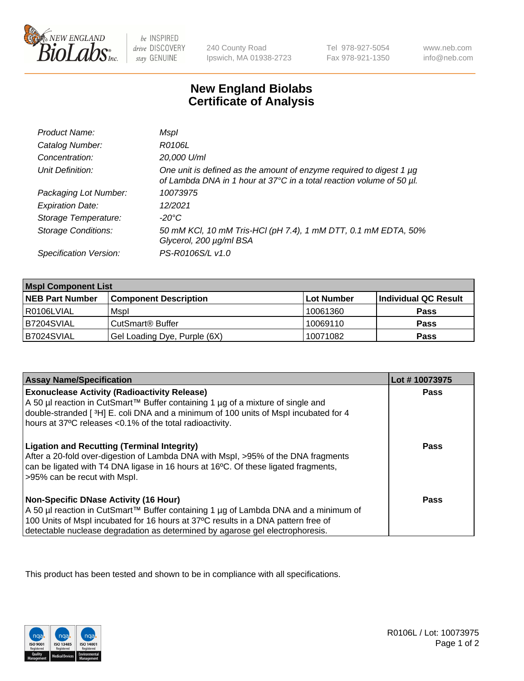

 $be$  INSPIRED drive DISCOVERY stay GENUINE

240 County Road Ipswich, MA 01938-2723 Tel 978-927-5054 Fax 978-921-1350

www.neb.com info@neb.com

## **New England Biolabs Certificate of Analysis**

| Product Name:              | Mspl                                                                                                                                        |
|----------------------------|---------------------------------------------------------------------------------------------------------------------------------------------|
| Catalog Number:            | R0106L                                                                                                                                      |
| Concentration:             | 20,000 U/ml                                                                                                                                 |
| Unit Definition:           | One unit is defined as the amount of enzyme required to digest 1 µg<br>of Lambda DNA in 1 hour at 37°C in a total reaction volume of 50 µl. |
| Packaging Lot Number:      | 10073975                                                                                                                                    |
| <b>Expiration Date:</b>    | 12/2021                                                                                                                                     |
| Storage Temperature:       | -20°C                                                                                                                                       |
| <b>Storage Conditions:</b> | 50 mM KCl, 10 mM Tris-HCl (pH 7.4), 1 mM DTT, 0.1 mM EDTA, 50%<br>Glycerol, 200 µg/ml BSA                                                   |
| Specification Version:     | PS-R0106S/L v1.0                                                                                                                            |

| <b>Mspl Component List</b> |                              |            |                      |  |
|----------------------------|------------------------------|------------|----------------------|--|
| <b>NEB Part Number</b>     | <b>Component Description</b> | Lot Number | Individual QC Result |  |
| I R0106LVIAL               | Mspl                         | 10061360   | <b>Pass</b>          |  |
| IB7204SVIAL                | CutSmart <sup>®</sup> Buffer | 10069110   | <b>Pass</b>          |  |
| B7024SVIAL                 | Gel Loading Dye, Purple (6X) | 10071082   | <b>Pass</b>          |  |

| <b>Assay Name/Specification</b>                                                                                                                                                                                                                                                                           | Lot #10073975 |
|-----------------------------------------------------------------------------------------------------------------------------------------------------------------------------------------------------------------------------------------------------------------------------------------------------------|---------------|
| <b>Exonuclease Activity (Radioactivity Release)</b><br>A 50 µl reaction in CutSmart™ Buffer containing 1 µg of a mixture of single and<br>double-stranded [3H] E. coli DNA and a minimum of 100 units of Mspl incubated for 4<br>hours at 37°C releases <0.1% of the total radioactivity.                 | <b>Pass</b>   |
| <b>Ligation and Recutting (Terminal Integrity)</b><br>After a 20-fold over-digestion of Lambda DNA with Mspl, >95% of the DNA fragments<br>can be ligated with T4 DNA ligase in 16 hours at 16°C. Of these ligated fragments,<br>>95% can be recut with Mspl.                                             | Pass          |
| <b>Non-Specific DNase Activity (16 Hour)</b><br>A 50 µl reaction in CutSmart™ Buffer containing 1 µg of Lambda DNA and a minimum of<br>100 Units of Mspl incubated for 16 hours at 37°C results in a DNA pattern free of<br>detectable nuclease degradation as determined by agarose gel electrophoresis. | Pass          |

This product has been tested and shown to be in compliance with all specifications.